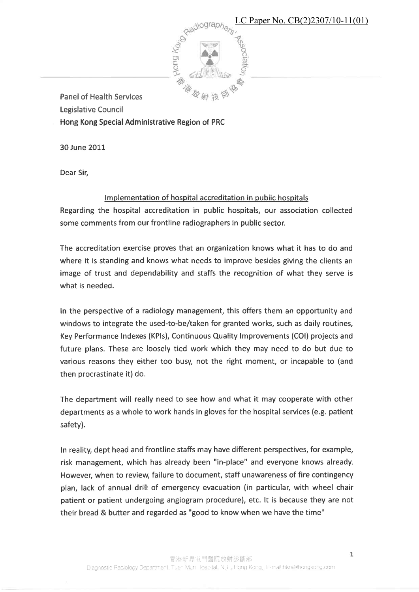LC Paper No. CB(2)2307/10-11(01)



**Panel of Health Services** 

**Legislative Council** 

Hong Kong Special Administrative Region of PRC

30 June 2011

Dear Sir,

## Implementation of hospital accreditation in public hospitals

Regarding the hospital accreditation in public hospitals, our association collected some comments from our frontline radiographers in public sector.

The accreditation exercise proves that an organization knows what it has to do and where it is standing and knows what needs to improve besides giving the clients an image of trust and dependability and staffs the recognition of what they serve is what is needed.

In the perspective of a radiology management, this offers them an opportunity and windows to integrate the used-to-be/taken for granted works, such as daily routines, Key Performance Indexes (KPIs), Continuous Quality Improvements (COI) projects and future plans. These are loosely tied work which they may need to do but due to various reasons they either too busy, not the right moment, or incapable to (and then procrastinate it) do.

The department will really need to see how and what it may cooperate with other departments as a whole to work hands in gloves for the hospital services (e.g. patient safety).

In reality, dept head and frontline staffs may have different perspectives, for example, risk management, which has already been "in-place" and everyone knows already. However, when to review, failure to document, staff unawareness of fire contingency plan, lack of annual drill of emergency evacuation (in particular, with wheel chair patient or patient undergoing angiogram procedure), etc. It is because they are not their bread & butter and regarded as "good to know when we have the time"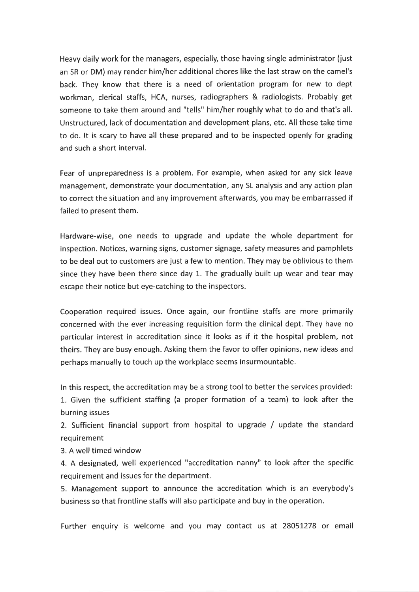Heavy daily work for the managers, especially, those having single administrator (just an SR or DM) may render him/her additional chores like the last straw on the camel's back. They know that there is a need of orientation program for new to dept workman, clerical staffs, HCA, nurses, radiographers & radiologists. Probably get someone to take them around and "tells" him/her roughly what to do and that's all. Unstructured, lack of documentation and development plans, etc. All these take time to do. It is scary to have all these prepared and to be inspected openly for grading and such a short interval.

Fear of unpreparedness is a problem. For example, when asked for any sick leave management, demonstrate your documentation, any SL analysis and any action plan to correct the situation and any improvement afterwards, you may be embarrassed if failed to present them.

Hardware-wise, one needs to upgrade and update the whole department for inspection. Notices, warning signs, customer signage, safety measures and pamphlets to be deal out to customers are just a few to mention. They may be oblivious to them since they have been there since day 1. The gradually built up wear and tear may escape their notice but eye-catching to the inspectors.

Cooperation required issues. Once again, our frontline staffs are more primarily concerned with the ever increasing requisition form the clinical dept. They have no particular interest in accreditation since it looks as if it the hospital problem, not theirs. They are busy enough. Asking them the favor to offer opinions, new ideas and perhaps manually to touch up the workplace seems insurmountable.

In this respect, the accreditation may be a strong tool to better the services provided: 1. Given the sufficient staffing (a proper formation of a team) to look after the burning issues

2. Sufficient financial support from hospital to upgrade / update the standard requirement

3. A well timed window

4. A designated, well experienced "accreditation nanny" to look after the specific requirement and issues for the department.

5. Management support to announce the accreditation which is an everybody's business so that frontline staffs will also participate and buy in the operation.

Further enquiry is welcome and you may contact us at 28051278 or email